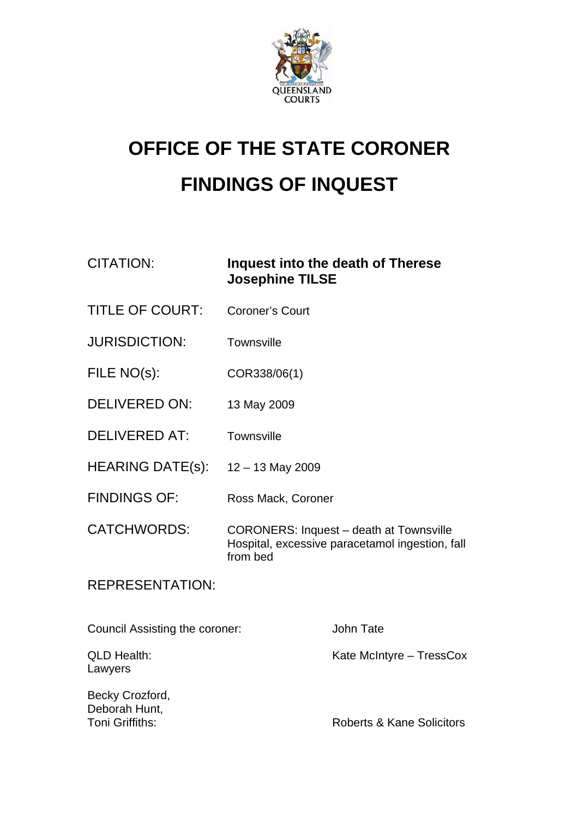

## **OFFICE OF THE STATE CORONER FINDINGS OF INQUEST**

CITATION: **Inquest into the death of Therese Josephine TILSE** 

- TITLE OF COURT: Coroner's Court
- JURISDICTION: Townsville
- FILE NO(s): COR338/06(1)
- DELIVERED ON: 13 May 2009
- DELIVERED AT: Townsville
- HEARING DATE(s): 12 13 May 2009
- FINDINGS OF: Ross Mack, Coroner
- CATCHWORDS: CORONERS: Inquest death at Townsville Hospital, excessive paracetamol ingestion, fall from bed

## REPRESENTATION:

Council Assisting the coroner: John Tate QLD Health: Sale Mate McIntyre – TressCox Lawyers Becky Crozford, Deborah Hunt, **Toni Griffiths:** Toni Griffiths: Roberts & Kane Solicitors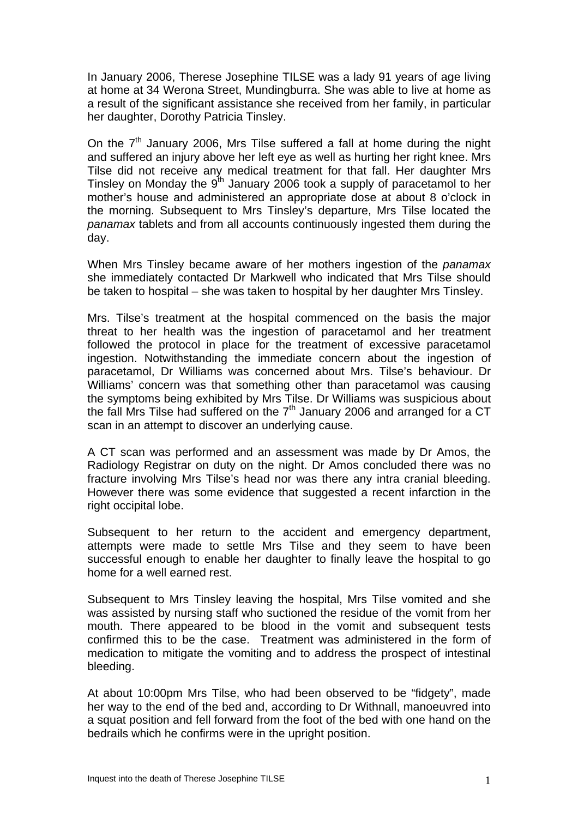In January 2006, Therese Josephine TILSE was a lady 91 years of age living at home at 34 Werona Street, Mundingburra. She was able to live at home as a result of the significant assistance she received from her family, in particular her daughter, Dorothy Patricia Tinsley.

On the  $7<sup>th</sup>$  January 2006, Mrs Tilse suffered a fall at home during the night and suffered an injury above her left eye as well as hurting her right knee. Mrs Tilse did not receive any medical treatment for that fall. Her daughter Mrs Tinsley on Monday the  $9<sup>th</sup>$  January 2006 took a supply of paracetamol to her mother's house and administered an appropriate dose at about 8 o'clock in the morning. Subsequent to Mrs Tinsley's departure, Mrs Tilse located the *panamax* tablets and from all accounts continuously ingested them during the day.

When Mrs Tinsley became aware of her mothers ingestion of the *panamax*  she immediately contacted Dr Markwell who indicated that Mrs Tilse should be taken to hospital – she was taken to hospital by her daughter Mrs Tinsley.

Mrs. Tilse's treatment at the hospital commenced on the basis the major threat to her health was the ingestion of paracetamol and her treatment followed the protocol in place for the treatment of excessive paracetamol ingestion. Notwithstanding the immediate concern about the ingestion of paracetamol, Dr Williams was concerned about Mrs. Tilse's behaviour. Dr Williams' concern was that something other than paracetamol was causing the symptoms being exhibited by Mrs Tilse. Dr Williams was suspicious about the fall Mrs Tilse had suffered on the 7<sup>th</sup> January 2006 and arranged for a CT scan in an attempt to discover an underlying cause.

A CT scan was performed and an assessment was made by Dr Amos, the Radiology Registrar on duty on the night. Dr Amos concluded there was no fracture involving Mrs Tilse's head nor was there any intra cranial bleeding. However there was some evidence that suggested a recent infarction in the right occipital lobe.

Subsequent to her return to the accident and emergency department, attempts were made to settle Mrs Tilse and they seem to have been successful enough to enable her daughter to finally leave the hospital to go home for a well earned rest.

Subsequent to Mrs Tinsley leaving the hospital, Mrs Tilse vomited and she was assisted by nursing staff who suctioned the residue of the vomit from her mouth. There appeared to be blood in the vomit and subsequent tests confirmed this to be the case. Treatment was administered in the form of medication to mitigate the vomiting and to address the prospect of intestinal bleeding.

At about 10:00pm Mrs Tilse, who had been observed to be "fidgety", made her way to the end of the bed and, according to Dr Withnall, manoeuvred into a squat position and fell forward from the foot of the bed with one hand on the bedrails which he confirms were in the upright position.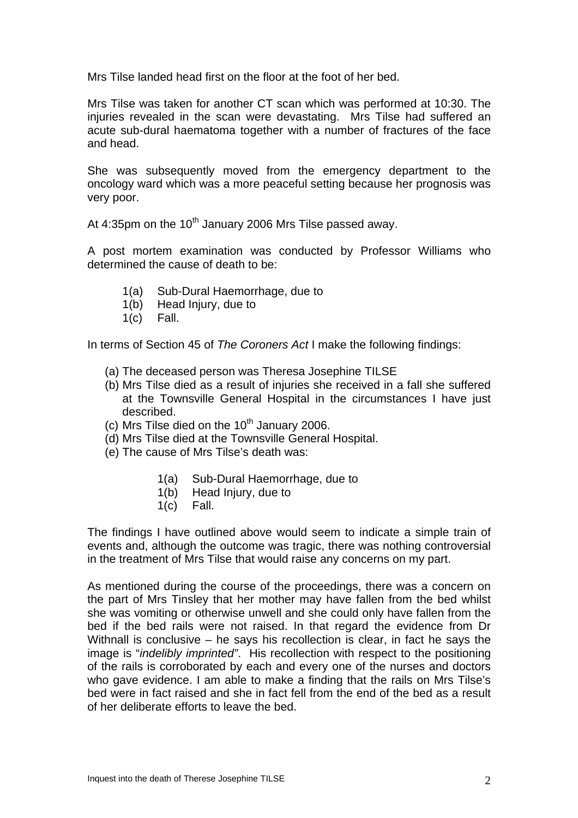Mrs Tilse landed head first on the floor at the foot of her bed.

Mrs Tilse was taken for another CT scan which was performed at 10:30. The injuries revealed in the scan were devastating. Mrs Tilse had suffered an acute sub-dural haematoma together with a number of fractures of the face and head.

She was subsequently moved from the emergency department to the oncology ward which was a more peaceful setting because her prognosis was very poor.

At 4:35pm on the  $10^{th}$  January 2006 Mrs Tilse passed away.

A post mortem examination was conducted by Professor Williams who determined the cause of death to be:

- 1(a) Sub-Dural Haemorrhage, due to
- 1(b) Head Injury, due to
- 1(c) Fall.

In terms of Section 45 of *The Coroners Act* I make the following findings:

- (a) The deceased person was Theresa Josephine TILSE
- (b) Mrs Tilse died as a result of injuries she received in a fall she suffered at the Townsville General Hospital in the circumstances I have just described.
- (c) Mrs Tilse died on the  $10<sup>th</sup>$  January 2006.
- (d) Mrs Tilse died at the Townsville General Hospital.
- (e) The cause of Mrs Tilse's death was:
	- 1(a) Sub-Dural Haemorrhage, due to
	- 1(b) Head Injury, due to
	- 1(c) Fall.

The findings I have outlined above would seem to indicate a simple train of events and, although the outcome was tragic, there was nothing controversial in the treatment of Mrs Tilse that would raise any concerns on my part.

As mentioned during the course of the proceedings, there was a concern on the part of Mrs Tinsley that her mother may have fallen from the bed whilst she was vomiting or otherwise unwell and she could only have fallen from the bed if the bed rails were not raised. In that regard the evidence from Dr Withnall is conclusive – he says his recollection is clear, in fact he says the image is "*indelibly imprinted"*. His recollection with respect to the positioning of the rails is corroborated by each and every one of the nurses and doctors who gave evidence. I am able to make a finding that the rails on Mrs Tilse's bed were in fact raised and she in fact fell from the end of the bed as a result of her deliberate efforts to leave the bed.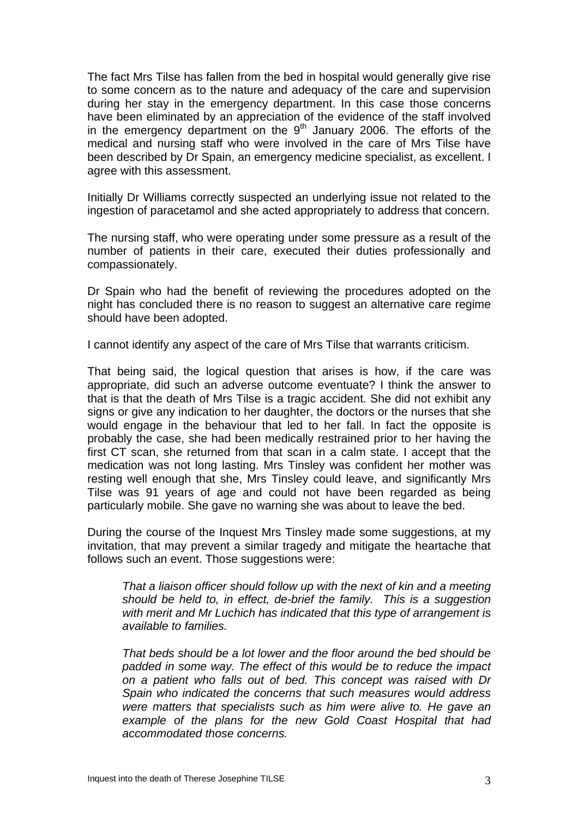The fact Mrs Tilse has fallen from the bed in hospital would generally give rise to some concern as to the nature and adequacy of the care and supervision during her stay in the emergency department. In this case those concerns have been eliminated by an appreciation of the evidence of the staff involved in the emergency department on the  $9<sup>th</sup>$  January 2006. The efforts of the medical and nursing staff who were involved in the care of Mrs Tilse have been described by Dr Spain, an emergency medicine specialist, as excellent. I agree with this assessment.

Initially Dr Williams correctly suspected an underlying issue not related to the ingestion of paracetamol and she acted appropriately to address that concern.

The nursing staff, who were operating under some pressure as a result of the number of patients in their care, executed their duties professionally and compassionately.

Dr Spain who had the benefit of reviewing the procedures adopted on the night has concluded there is no reason to suggest an alternative care regime should have been adopted.

I cannot identify any aspect of the care of Mrs Tilse that warrants criticism.

That being said, the logical question that arises is how, if the care was appropriate, did such an adverse outcome eventuate? I think the answer to that is that the death of Mrs Tilse is a tragic accident. She did not exhibit any signs or give any indication to her daughter, the doctors or the nurses that she would engage in the behaviour that led to her fall. In fact the opposite is probably the case, she had been medically restrained prior to her having the first CT scan, she returned from that scan in a calm state. I accept that the medication was not long lasting. Mrs Tinsley was confident her mother was resting well enough that she, Mrs Tinsley could leave, and significantly Mrs Tilse was 91 years of age and could not have been regarded as being particularly mobile. She gave no warning she was about to leave the bed.

During the course of the Inquest Mrs Tinsley made some suggestions, at my invitation, that may prevent a similar tragedy and mitigate the heartache that follows such an event. Those suggestions were:

*That a liaison officer should follow up with the next of kin and a meeting should be held to, in effect, de-brief the family. This is a suggestion with merit and Mr Luchich has indicated that this type of arrangement is available to families.* 

*That beds should be a lot lower and the floor around the bed should be padded in some way. The effect of this would be to reduce the impact on a patient who falls out of bed. This concept was raised with Dr Spain who indicated the concerns that such measures would address were matters that specialists such as him were alive to. He gave an example of the plans for the new Gold Coast Hospital that had accommodated those concerns.*